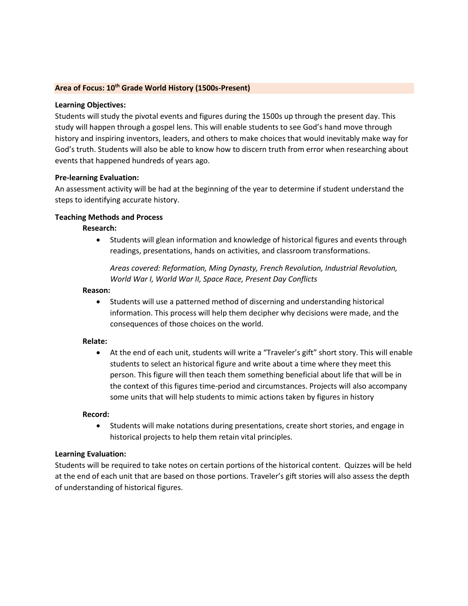#### **Area of Focus: 10th Grade World History (1500s-Present)**

#### **Learning Objectives:**

Students will study the pivotal events and figures during the 1500s up through the present day. This study will happen through a gospel lens. This will enable students to see God's hand move through history and inspiring inventors, leaders, and others to make choices that would inevitably make way for God's truth. Students will also be able to know how to discern truth from error when researching about events that happened hundreds of years ago.

#### **Pre-learning Evaluation:**

An assessment activity will be had at the beginning of the year to determine if student understand the steps to identifying accurate history.

#### **Teaching Methods and Process**

#### **Research:**

• Students will glean information and knowledge of historical figures and events through readings, presentations, hands on activities, and classroom transformations.

*Areas covered: Reformation, Ming Dynasty, French Revolution, Industrial Revolution, World War I, World War II, Space Race, Present Day Conflicts*

#### **Reason:**

• Students will use a patterned method of discerning and understanding historical information. This process will help them decipher why decisions were made, and the consequences of those choices on the world.

#### **Relate:**

• At the end of each unit, students will write a "Traveler's gift" short story. This will enable students to select an historical figure and write about a time where they meet this person. This figure will then teach them something beneficial about life that will be in the context of this figures time-period and circumstances. Projects will also accompany some units that will help students to mimic actions taken by figures in history

## **Record:**

• Students will make notations during presentations, create short stories, and engage in historical projects to help them retain vital principles.

## **Learning Evaluation:**

Students will be required to take notes on certain portions of the historical content. Quizzes will be held at the end of each unit that are based on those portions. Traveler's gift stories will also assess the depth of understanding of historical figures.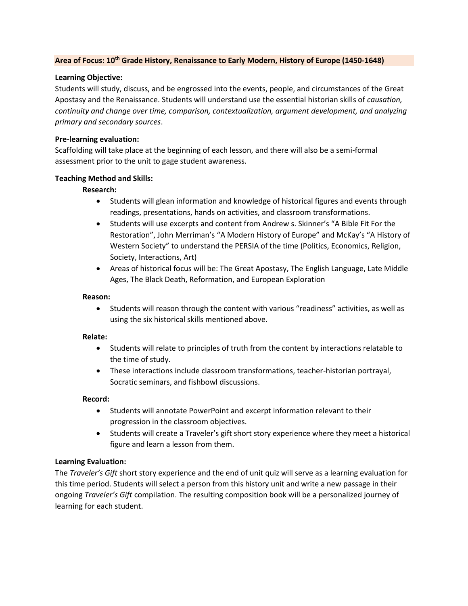## **Area of Focus: 10th Grade History, Renaissance to Early Modern, History of Europe (1450-1648)**

#### **Learning Objective:**

Students will study, discuss, and be engrossed into the events, people, and circumstances of the Great Apostasy and the Renaissance. Students will understand use the essential historian skills of *causation, continuity and change over time, comparison, contextualization, argument development, and analyzing primary and secondary sources*.

#### **Pre-learning evaluation:**

Scaffolding will take place at the beginning of each lesson, and there will also be a semi-formal assessment prior to the unit to gage student awareness.

#### **Teaching Method and Skills:**

## **Research:**

- Students will glean information and knowledge of historical figures and events through readings, presentations, hands on activities, and classroom transformations.
- Students will use excerpts and content from Andrew s. Skinner's "A Bible Fit For the Restoration", John Merriman's "A Modern History of Europe" and McKay's "A History of Western Society" to understand the PERSIA of the time (Politics, Economics, Religion, Society, Interactions, Art)
- Areas of historical focus will be: The Great Apostasy, The English Language, Late Middle Ages, The Black Death, Reformation, and European Exploration

#### **Reason:**

• Students will reason through the content with various "readiness" activities, as well as using the six historical skills mentioned above.

## **Relate:**

- Students will relate to principles of truth from the content by interactions relatable to the time of study.
- These interactions include classroom transformations, teacher-historian portrayal, Socratic seminars, and fishbowl discussions.

#### **Record:**

- Students will annotate PowerPoint and excerpt information relevant to their progression in the classroom objectives.
- Students will create a Traveler's gift short story experience where they meet a historical figure and learn a lesson from them.

## **Learning Evaluation:**

The *Traveler's Gift* short story experience and the end of unit quiz will serve as a learning evaluation for this time period. Students will select a person from this history unit and write a new passage in their ongoing *Traveler's Gift* compilation. The resulting composition book will be a personalized journey of learning for each student.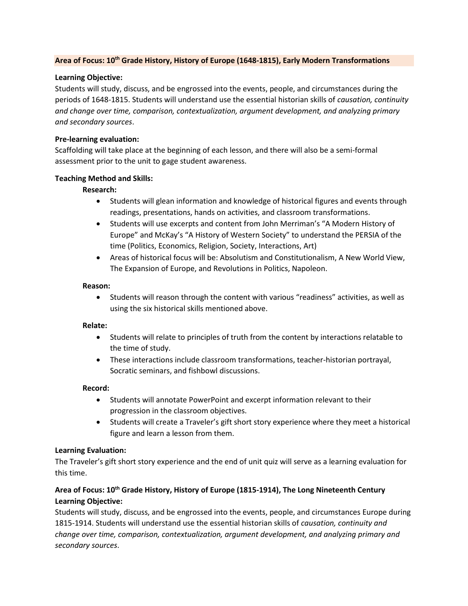## **Area of Focus: 10th Grade History, History of Europe (1648-1815), Early Modern Transformations**

## **Learning Objective:**

Students will study, discuss, and be engrossed into the events, people, and circumstances during the periods of 1648-1815. Students will understand use the essential historian skills of *causation, continuity and change over time, comparison, contextualization, argument development, and analyzing primary and secondary sources*.

## **Pre-learning evaluation:**

Scaffolding will take place at the beginning of each lesson, and there will also be a semi-formal assessment prior to the unit to gage student awareness.

## **Teaching Method and Skills:**

## **Research:**

- Students will glean information and knowledge of historical figures and events through readings, presentations, hands on activities, and classroom transformations.
- Students will use excerpts and content from John Merriman's "A Modern History of Europe" and McKay's "A History of Western Society" to understand the PERSIA of the time (Politics, Economics, Religion, Society, Interactions, Art)
- Areas of historical focus will be: Absolutism and Constitutionalism, A New World View, The Expansion of Europe, and Revolutions in Politics, Napoleon.

## **Reason:**

• Students will reason through the content with various "readiness" activities, as well as using the six historical skills mentioned above.

## **Relate:**

- Students will relate to principles of truth from the content by interactions relatable to the time of study.
- These interactions include classroom transformations, teacher-historian portrayal, Socratic seminars, and fishbowl discussions.

## **Record:**

- Students will annotate PowerPoint and excerpt information relevant to their progression in the classroom objectives.
- Students will create a Traveler's gift short story experience where they meet a historical figure and learn a lesson from them.

# **Learning Evaluation:**

The Traveler's gift short story experience and the end of unit quiz will serve as a learning evaluation for this time.

# **Area of Focus: 10th Grade History, History of Europe (1815-1914), The Long Nineteenth Century Learning Objective:**

Students will study, discuss, and be engrossed into the events, people, and circumstances Europe during 1815-1914. Students will understand use the essential historian skills of *causation, continuity and change over time, comparison, contextualization, argument development, and analyzing primary and secondary sources*.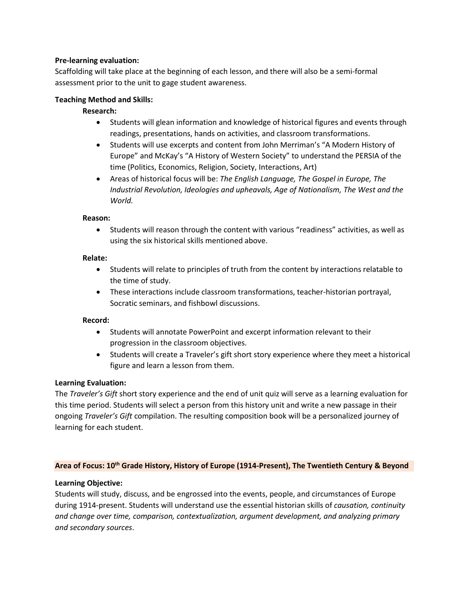## **Pre-learning evaluation:**

Scaffolding will take place at the beginning of each lesson, and there will also be a semi-formal assessment prior to the unit to gage student awareness.

#### **Teaching Method and Skills:**

#### **Research:**

- Students will glean information and knowledge of historical figures and events through readings, presentations, hands on activities, and classroom transformations.
- Students will use excerpts and content from John Merriman's "A Modern History of Europe" and McKay's "A History of Western Society" to understand the PERSIA of the time (Politics, Economics, Religion, Society, Interactions, Art)
- Areas of historical focus will be: *The English Language, The Gospel in Europe, The Industrial Revolution, Ideologies and upheavals, Age of Nationalism, The West and the World.*

#### **Reason:**

• Students will reason through the content with various "readiness" activities, as well as using the six historical skills mentioned above.

#### **Relate:**

- Students will relate to principles of truth from the content by interactions relatable to the time of study.
- These interactions include classroom transformations, teacher-historian portrayal, Socratic seminars, and fishbowl discussions.

## **Record:**

- Students will annotate PowerPoint and excerpt information relevant to their progression in the classroom objectives.
- Students will create a Traveler's gift short story experience where they meet a historical figure and learn a lesson from them.

## **Learning Evaluation:**

The *Traveler's Gift* short story experience and the end of unit quiz will serve as a learning evaluation for this time period. Students will select a person from this history unit and write a new passage in their ongoing *Traveler's Gift* compilation. The resulting composition book will be a personalized journey of learning for each student.

#### **Area of Focus: 10th Grade History, History of Europe (1914-Present), The Twentieth Century & Beyond**

## **Learning Objective:**

Students will study, discuss, and be engrossed into the events, people, and circumstances of Europe during 1914-present. Students will understand use the essential historian skills of *causation, continuity and change over time, comparison, contextualization, argument development, and analyzing primary and secondary sources*.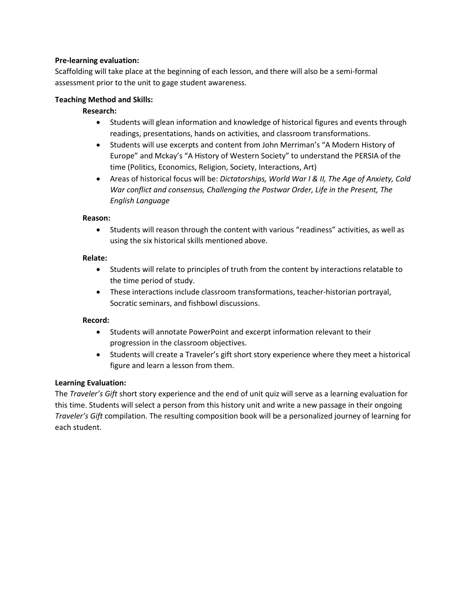## **Pre-learning evaluation:**

Scaffolding will take place at the beginning of each lesson, and there will also be a semi-formal assessment prior to the unit to gage student awareness.

## **Teaching Method and Skills:**

# **Research:**

- Students will glean information and knowledge of historical figures and events through readings, presentations, hands on activities, and classroom transformations.
- Students will use excerpts and content from John Merriman's "A Modern History of Europe" and Mckay's "A History of Western Society" to understand the PERSIA of the time (Politics, Economics, Religion, Society, Interactions, Art)
- Areas of historical focus will be: *Dictatorships, World War I & II, The Age of Anxiety, Cold War conflict and consensus, Challenging the Postwar Order, Life in the Present, The English Language*

## **Reason:**

• Students will reason through the content with various "readiness" activities, as well as using the six historical skills mentioned above.

## **Relate:**

- Students will relate to principles of truth from the content by interactions relatable to the time period of study.
- These interactions include classroom transformations, teacher-historian portrayal, Socratic seminars, and fishbowl discussions.

# **Record:**

- Students will annotate PowerPoint and excerpt information relevant to their progression in the classroom objectives.
- Students will create a Traveler's gift short story experience where they meet a historical figure and learn a lesson from them.

# **Learning Evaluation:**

The *Traveler's Gift* short story experience and the end of unit quiz will serve as a learning evaluation for this time. Students will select a person from this history unit and write a new passage in their ongoing *Traveler's Gift* compilation. The resulting composition book will be a personalized journey of learning for each student.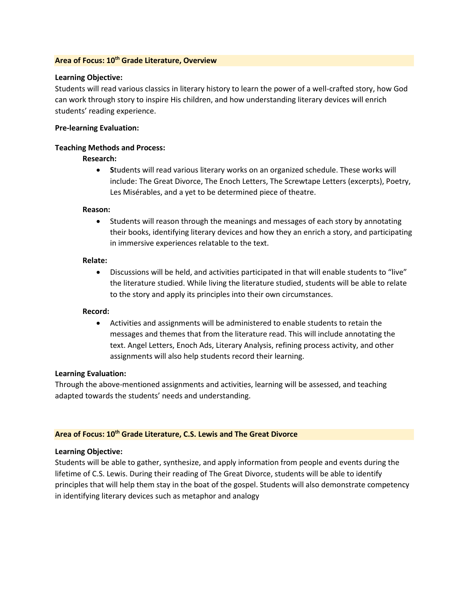#### **Area of Focus: 10th Grade Literature, Overview**

#### **Learning Objective:**

Students will read various classics in literary history to learn the power of a well-crafted story, how God can work through story to inspire His children, and how understanding literary devices will enrich students' reading experience.

#### **Pre-learning Evaluation:**

#### **Teaching Methods and Process:**

## **Research:**

• **S**tudents will read various literary works on an organized schedule. These works will include: The Great Divorce, The Enoch Letters, The Screwtape Letters (excerpts), Poetry, Les Misérables, and a yet to be determined piece of theatre.

#### **Reason:**

• Students will reason through the meanings and messages of each story by annotating their books, identifying literary devices and how they an enrich a story, and participating in immersive experiences relatable to the text.

#### **Relate:**

• Discussions will be held, and activities participated in that will enable students to "live" the literature studied. While living the literature studied, students will be able to relate to the story and apply its principles into their own circumstances.

## **Record:**

• Activities and assignments will be administered to enable students to retain the messages and themes that from the literature read. This will include annotating the text. Angel Letters, Enoch Ads, Literary Analysis, refining process activity, and other assignments will also help students record their learning.

#### **Learning Evaluation:**

Through the above-mentioned assignments and activities, learning will be assessed, and teaching adapted towards the students' needs and understanding.

## **Area of Focus: 10th Grade Literature, C.S. Lewis and The Great Divorce**

## **Learning Objective:**

Students will be able to gather, synthesize, and apply information from people and events during the lifetime of C.S. Lewis. During their reading of The Great Divorce, students will be able to identify principles that will help them stay in the boat of the gospel. Students will also demonstrate competency in identifying literary devices such as metaphor and analogy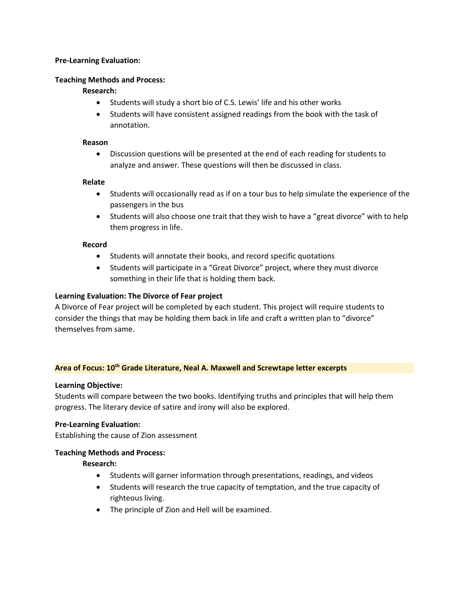## **Pre-Learning Evaluation:**

#### **Teaching Methods and Process:**

## **Research:**

- Students will study a short bio of C.S. Lewis' life and his other works
- Students will have consistent assigned readings from the book with the task of annotation.

#### **Reason**

• Discussion questions will be presented at the end of each reading for students to analyze and answer. These questions will then be discussed in class.

## **Relate**

- Students will occasionally read as if on a tour bus to help simulate the experience of the passengers in the bus
- Students will also choose one trait that they wish to have a "great divorce" with to help them progress in life.

#### **Record**

- Students will annotate their books, and record specific quotations
- Students will participate in a "Great Divorce" project, where they must divorce something in their life that is holding them back.

## **Learning Evaluation: The Divorce of Fear project**

A Divorce of Fear project will be completed by each student. This project will require students to consider the things that may be holding them back in life and craft a written plan to "divorce" themselves from same.

## **Area of Focus: 10th Grade Literature, Neal A. Maxwell and Screwtape letter excerpts**

## **Learning Objective:**

Students will compare between the two books. Identifying truths and principles that will help them progress. The literary device of satire and irony will also be explored.

## **Pre-Learning Evaluation:**

Establishing the cause of Zion assessment

## **Teaching Methods and Process:**

**Research:**

- Students will garner information through presentations, readings, and videos
- Students will research the true capacity of temptation, and the true capacity of righteous living.
- The principle of Zion and Hell will be examined.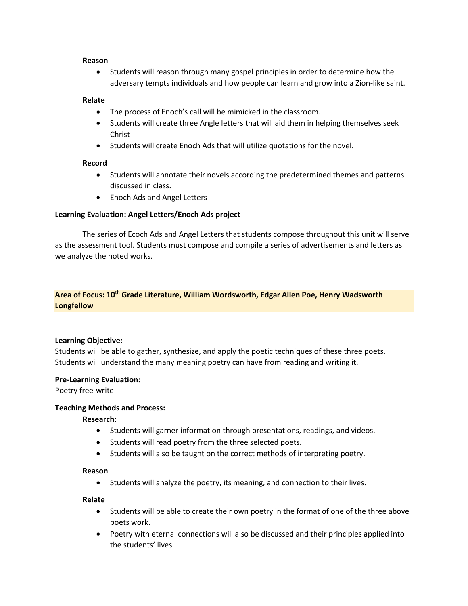#### **Reason**

• Students will reason through many gospel principles in order to determine how the adversary tempts individuals and how people can learn and grow into a Zion-like saint.

## **Relate**

- The process of Enoch's call will be mimicked in the classroom.
- Students will create three Angle letters that will aid them in helping themselves seek Christ
- Students will create Enoch Ads that will utilize quotations for the novel.

## **Record**

- Students will annotate their novels according the predetermined themes and patterns discussed in class.
- Enoch Ads and Angel Letters

## **Learning Evaluation: Angel Letters/Enoch Ads project**

The series of Ecoch Ads and Angel Letters that students compose throughout this unit will serve as the assessment tool. Students must compose and compile a series of advertisements and letters as we analyze the noted works.

# **Area of Focus: 10th Grade Literature, William Wordsworth, Edgar Allen Poe, Henry Wadsworth Longfellow**

# **Learning Objective:**

Students will be able to gather, synthesize, and apply the poetic techniques of these three poets. Students will understand the many meaning poetry can have from reading and writing it.

## **Pre-Learning Evaluation:**

Poetry free-write

## **Teaching Methods and Process:**

## **Research:**

- Students will garner information through presentations, readings, and videos.
- Students will read poetry from the three selected poets.
- Students will also be taught on the correct methods of interpreting poetry.

## **Reason**

• Students will analyze the poetry, its meaning, and connection to their lives.

## **Relate**

- Students will be able to create their own poetry in the format of one of the three above poets work.
- Poetry with eternal connections will also be discussed and their principles applied into the students' lives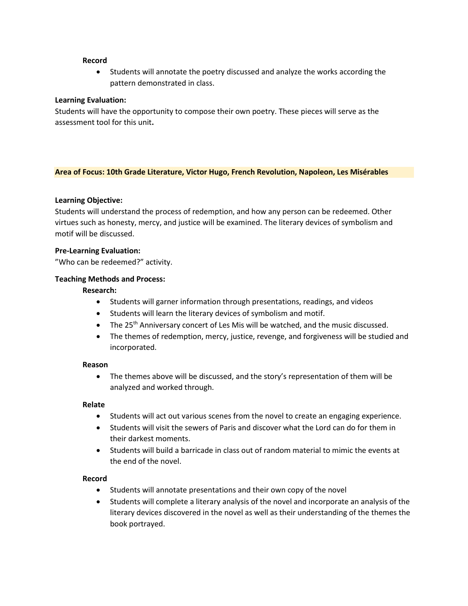#### **Record**

• Students will annotate the poetry discussed and analyze the works according the pattern demonstrated in class.

## **Learning Evaluation:**

Students will have the opportunity to compose their own poetry. These pieces will serve as the assessment tool for this unit**.**

#### **Area of Focus: 10th Grade Literature, Victor Hugo, French Revolution, Napoleon, Les Misérables**

## **Learning Objective:**

Students will understand the process of redemption, and how any person can be redeemed. Other virtues such as honesty, mercy, and justice will be examined. The literary devices of symbolism and motif will be discussed.

#### **Pre-Learning Evaluation:**

"Who can be redeemed?" activity.

#### **Teaching Methods and Process:**

#### **Research:**

- Students will garner information through presentations, readings, and videos
- Students will learn the literary devices of symbolism and motif.
- The  $25<sup>th</sup>$  Anniversary concert of Les Mis will be watched, and the music discussed.
- The themes of redemption, mercy, justice, revenge, and forgiveness will be studied and incorporated.

#### **Reason**

• The themes above will be discussed, and the story's representation of them will be analyzed and worked through.

#### **Relate**

- Students will act out various scenes from the novel to create an engaging experience.
- Students will visit the sewers of Paris and discover what the Lord can do for them in their darkest moments.
- Students will build a barricade in class out of random material to mimic the events at the end of the novel.

#### **Record**

- Students will annotate presentations and their own copy of the novel
- Students will complete a literary analysis of the novel and incorporate an analysis of the literary devices discovered in the novel as well as their understanding of the themes the book portrayed.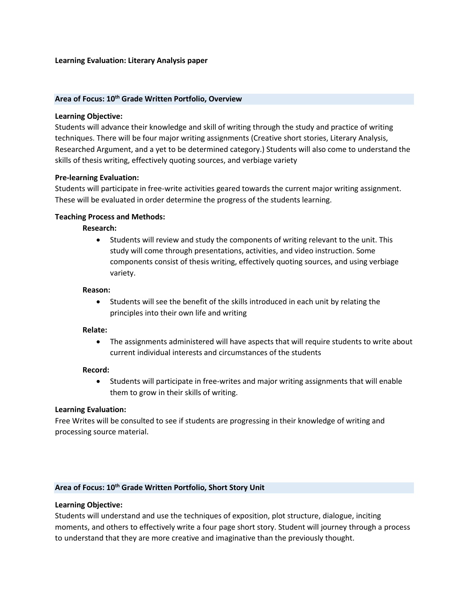#### **Learning Evaluation: Literary Analysis paper**

#### **Area of Focus: 10th Grade Written Portfolio, Overview**

#### **Learning Objective:**

Students will advance their knowledge and skill of writing through the study and practice of writing techniques. There will be four major writing assignments (Creative short stories, Literary Analysis, Researched Argument, and a yet to be determined category.) Students will also come to understand the skills of thesis writing, effectively quoting sources, and verbiage variety

#### **Pre-learning Evaluation:**

Students will participate in free-write activities geared towards the current major writing assignment. These will be evaluated in order determine the progress of the students learning.

#### **Teaching Process and Methods:**

#### **Research:**

• Students will review and study the components of writing relevant to the unit. This study will come through presentations, activities, and video instruction. Some components consist of thesis writing, effectively quoting sources, and using verbiage variety.

#### **Reason:**

• Students will see the benefit of the skills introduced in each unit by relating the principles into their own life and writing

#### **Relate:**

• The assignments administered will have aspects that will require students to write about current individual interests and circumstances of the students

#### **Record:**

• Students will participate in free-writes and major writing assignments that will enable them to grow in their skills of writing.

#### **Learning Evaluation:**

Free Writes will be consulted to see if students are progressing in their knowledge of writing and processing source material.

## **Area of Focus: 10th Grade Written Portfolio, Short Story Unit**

#### **Learning Objective:**

Students will understand and use the techniques of exposition, plot structure, dialogue, inciting moments, and others to effectively write a four page short story. Student will journey through a process to understand that they are more creative and imaginative than the previously thought.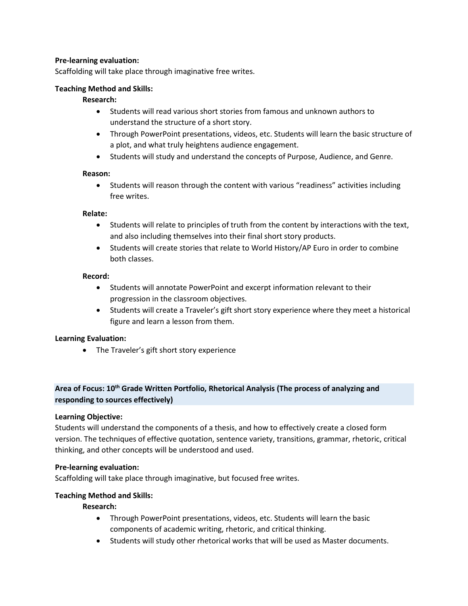## **Pre-learning evaluation:**

Scaffolding will take place through imaginative free writes.

## **Teaching Method and Skills:**

## **Research:**

- Students will read various short stories from famous and unknown authors to understand the structure of a short story.
- Through PowerPoint presentations, videos, etc. Students will learn the basic structure of a plot, and what truly heightens audience engagement.
- Students will study and understand the concepts of Purpose, Audience, and Genre.

## **Reason:**

• Students will reason through the content with various "readiness" activities including free writes.

#### **Relate:**

- Students will relate to principles of truth from the content by interactions with the text, and also including themselves into their final short story products.
- Students will create stories that relate to World History/AP Euro in order to combine both classes.

#### **Record:**

- Students will annotate PowerPoint and excerpt information relevant to their progression in the classroom objectives.
- Students will create a Traveler's gift short story experience where they meet a historical figure and learn a lesson from them.

## **Learning Evaluation:**

• The Traveler's gift short story experience

# **Area of Focus: 10th Grade Written Portfolio, Rhetorical Analysis (The process of analyzing and responding to sources effectively)**

## **Learning Objective:**

Students will understand the components of a thesis, and how to effectively create a closed form version. The techniques of effective quotation, sentence variety, transitions, grammar, rhetoric, critical thinking, and other concepts will be understood and used.

## **Pre-learning evaluation:**

Scaffolding will take place through imaginative, but focused free writes.

## **Teaching Method and Skills:**

## **Research:**

- Through PowerPoint presentations, videos, etc. Students will learn the basic components of academic writing, rhetoric, and critical thinking.
- Students will study other rhetorical works that will be used as Master documents.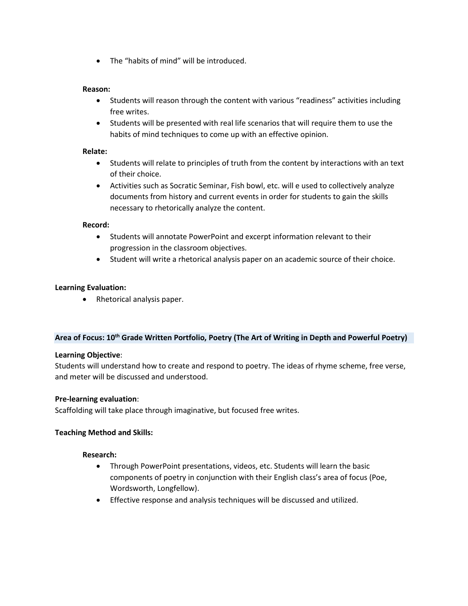• The "habits of mind" will be introduced.

## **Reason:**

- Students will reason through the content with various "readiness" activities including free writes.
- Students will be presented with real life scenarios that will require them to use the habits of mind techniques to come up with an effective opinion.

## **Relate:**

- Students will relate to principles of truth from the content by interactions with an text of their choice.
- Activities such as Socratic Seminar, Fish bowl, etc. will e used to collectively analyze documents from history and current events in order for students to gain the skills necessary to rhetorically analyze the content.

## **Record:**

- Students will annotate PowerPoint and excerpt information relevant to their progression in the classroom objectives.
- Student will write a rhetorical analysis paper on an academic source of their choice.

# **Learning Evaluation:**

• Rhetorical analysis paper.

## **Area of Focus: 10th Grade Written Portfolio, Poetry (The Art of Writing in Depth and Powerful Poetry)**

## **Learning Objective**:

Students will understand how to create and respond to poetry. The ideas of rhyme scheme, free verse, and meter will be discussed and understood.

# **Pre-learning evaluation**:

Scaffolding will take place through imaginative, but focused free writes.

## **Teaching Method and Skills:**

## **Research:**

- Through PowerPoint presentations, videos, etc. Students will learn the basic components of poetry in conjunction with their English class's area of focus (Poe, Wordsworth, Longfellow).
- Effective response and analysis techniques will be discussed and utilized.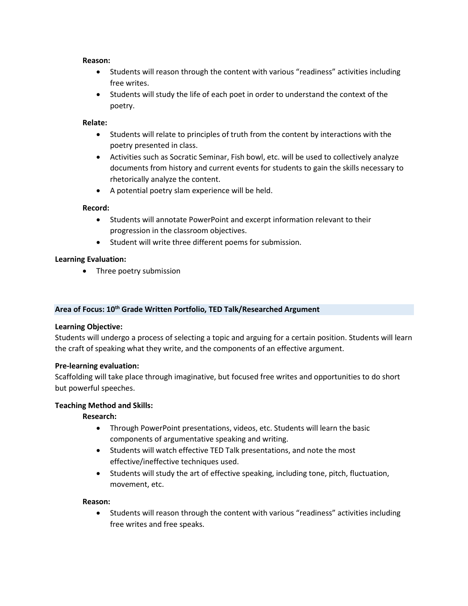#### **Reason:**

- Students will reason through the content with various "readiness" activities including free writes.
- Students will study the life of each poet in order to understand the context of the poetry.

## **Relate:**

- Students will relate to principles of truth from the content by interactions with the poetry presented in class.
- Activities such as Socratic Seminar, Fish bowl, etc. will be used to collectively analyze documents from history and current events for students to gain the skills necessary to rhetorically analyze the content.
- A potential poetry slam experience will be held.

## **Record:**

- Students will annotate PowerPoint and excerpt information relevant to their progression in the classroom objectives.
- Student will write three different poems for submission.

## **Learning Evaluation:**

• Three poetry submission

# **Area of Focus: 10th Grade Written Portfolio, TED Talk/Researched Argument**

## **Learning Objective:**

Students will undergo a process of selecting a topic and arguing for a certain position. Students will learn the craft of speaking what they write, and the components of an effective argument.

## **Pre-learning evaluation:**

Scaffolding will take place through imaginative, but focused free writes and opportunities to do short but powerful speeches.

## **Teaching Method and Skills:**

# **Research:**

- Through PowerPoint presentations, videos, etc. Students will learn the basic components of argumentative speaking and writing.
- Students will watch effective TED Talk presentations, and note the most effective/ineffective techniques used.
- Students will study the art of effective speaking, including tone, pitch, fluctuation, movement, etc.

## **Reason:**

• Students will reason through the content with various "readiness" activities including free writes and free speaks.